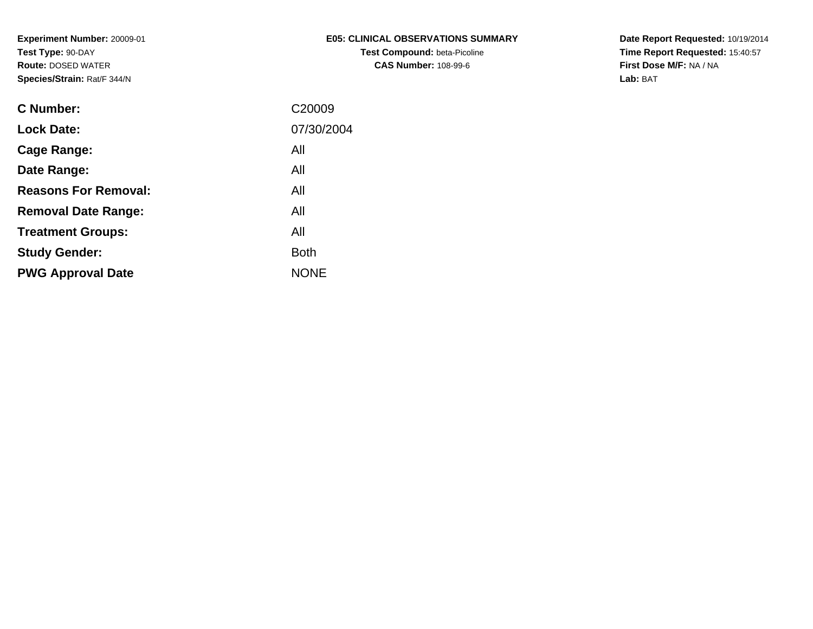| E05: CLINICAL OBSERVATIONS SUMMARY  |
|-------------------------------------|
| <b>Test Compound: beta-Picoline</b> |
| <b>CAS Number: 108-99-6</b>         |

**Date Report Requested:** 10/19/2014 **Time Report Requested:** 15:40:57**First Dose M/F:** NA / NA**Lab:** BAT

| C Number:                   | C <sub>20009</sub> |
|-----------------------------|--------------------|
| <b>Lock Date:</b>           | 07/30/2004         |
| Cage Range:                 | All                |
| Date Range:                 | All                |
| <b>Reasons For Removal:</b> | All                |
| <b>Removal Date Range:</b>  | All                |
| <b>Treatment Groups:</b>    | All                |
| <b>Study Gender:</b>        | <b>Both</b>        |
| <b>PWG Approval Date</b>    | <b>NONE</b>        |
|                             |                    |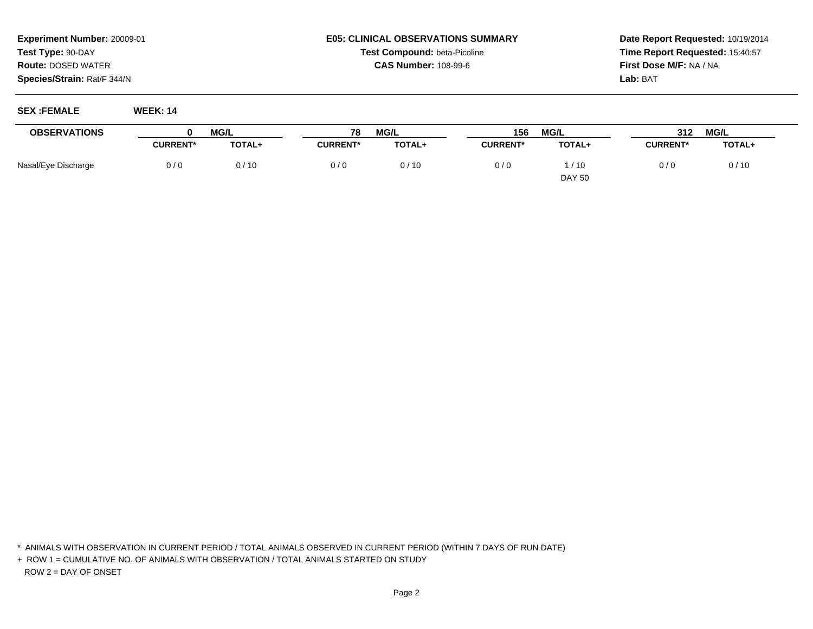### **E05: CLINICAL OBSERVATIONS SUMMARYTest Compound:** beta-Picoline**CAS Number:** 108-99-6

**Date Report Requested:** 10/19/2014**Time Report Requested:** 15:40:57**First Dose M/F:** NA / NA**Lab:** BAT

#### **SEX :FEMALE WEEK: 14**

| <b>OBSERVATIONS</b> | <b>MG/L</b>     |        | MG/L<br>78      |        | <b>MG/L</b><br>156 |               | <b>MG/L</b><br>312 |               |
|---------------------|-----------------|--------|-----------------|--------|--------------------|---------------|--------------------|---------------|
|                     | <b>CURRENT*</b> | TOTAL+ | <b>CURRENT*</b> | TOTAL+ | <b>CURRENT*</b>    | <b>TOTAL+</b> | <b>CURRENT*</b>    | <b>TOTAL+</b> |
| Nasal/Eye Discharge | 0/0             | 0/10   | 0/0             | 0/10   | 0/0                | /10           | 0/0                | 0/10          |
|                     |                 |        |                 |        |                    | <b>DAY 50</b> |                    |               |

\* ANIMALS WITH OBSERVATION IN CURRENT PERIOD / TOTAL ANIMALS OBSERVED IN CURRENT PERIOD (WITHIN 7 DAYS OF RUN DATE)

+ ROW 1 = CUMULATIVE NO. OF ANIMALS WITH OBSERVATION / TOTAL ANIMALS STARTED ON STUDYROW 2 = DAY OF ONSET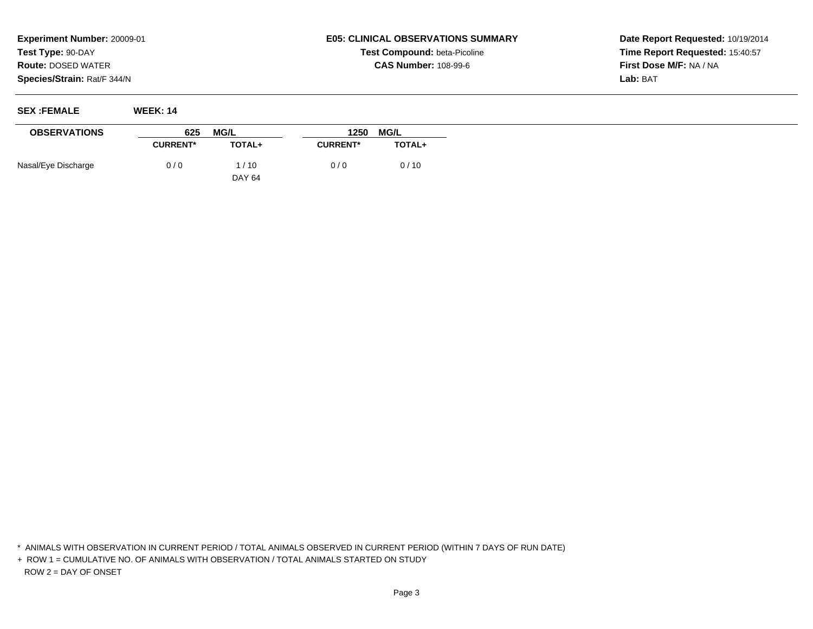# **E05: CLINICAL OBSERVATIONS SUMMARYTest Compound:** beta-Picoline**CAS Number:** 108-99-6

**Date Report Requested:** 10/19/2014**Time Report Requested:** 15:40:57**First Dose M/F:** NA / NA**Lab:** BAT

**SEX :FEMALE WEEK: 14**

| <b>OBSERVATIONS</b> | 625             | MG/L          | 1250<br><b>MG/L</b> |               |  |
|---------------------|-----------------|---------------|---------------------|---------------|--|
|                     | <b>CURRENT*</b> | <b>TOTAL+</b> | <b>CURRENT*</b>     | <b>TOTAL+</b> |  |
| Nasal/Eye Discharge | 0/0             | 1/10          | 0/0                 | 0/10          |  |
|                     |                 | <b>DAY 64</b> |                     |               |  |

\* ANIMALS WITH OBSERVATION IN CURRENT PERIOD / TOTAL ANIMALS OBSERVED IN CURRENT PERIOD (WITHIN 7 DAYS OF RUN DATE)

+ ROW 1 = CUMULATIVE NO. OF ANIMALS WITH OBSERVATION / TOTAL ANIMALS STARTED ON STUDYROW 2 = DAY OF ONSET